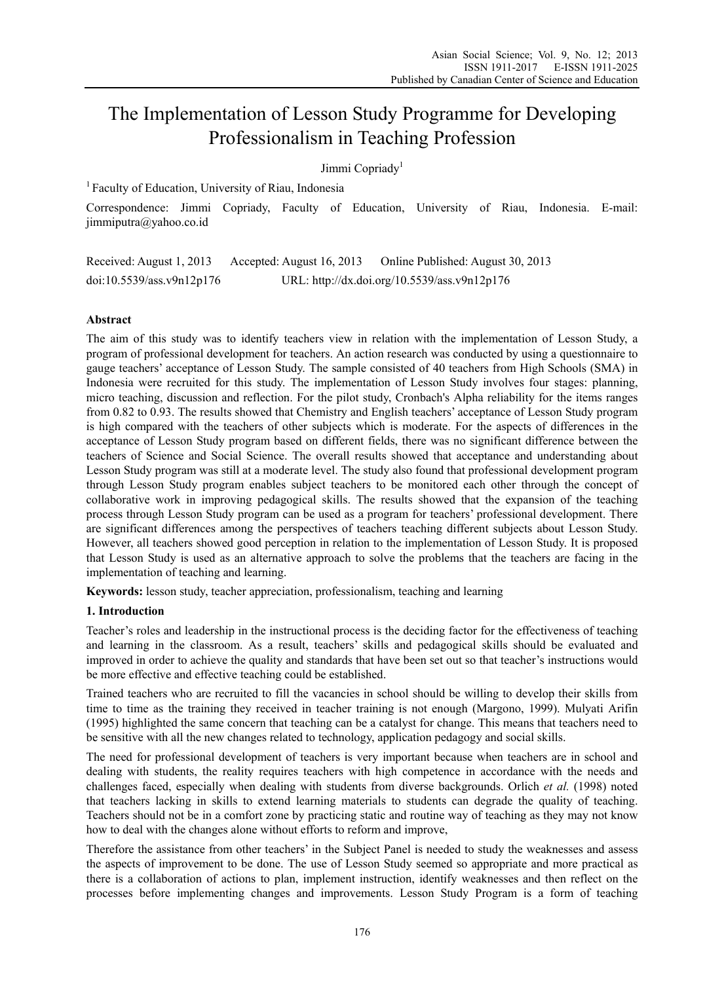# The Implementation of Lesson Study Programme for Developing Professionalism in Teaching Profession

Jimmi Copriady<sup>1</sup>

<sup>1</sup> Faculty of Education, University of Riau, Indonesia

Correspondence: Jimmi Copriady, Faculty of Education, University of Riau, Indonesia. E-mail: jimmiputra@yahoo.co.id

Received: August 1, 2013 Accepted: August 16, 2013 Online Published: August 30, 2013 doi:10.5539/ass.v9n12p176 URL: http://dx.doi.org/10.5539/ass.v9n12p176

# **Abstract**

The aim of this study was to identify teachers view in relation with the implementation of Lesson Study, a program of professional development for teachers. An action research was conducted by using a questionnaire to gauge teachers' acceptance of Lesson Study. The sample consisted of 40 teachers from High Schools (SMA) in Indonesia were recruited for this study. The implementation of Lesson Study involves four stages: planning, micro teaching, discussion and reflection. For the pilot study, Cronbach's Alpha reliability for the items ranges from 0.82 to 0.93. The results showed that Chemistry and English teachers' acceptance of Lesson Study program is high compared with the teachers of other subjects which is moderate. For the aspects of differences in the acceptance of Lesson Study program based on different fields, there was no significant difference between the teachers of Science and Social Science. The overall results showed that acceptance and understanding about Lesson Study program was still at a moderate level. The study also found that professional development program through Lesson Study program enables subject teachers to be monitored each other through the concept of collaborative work in improving pedagogical skills. The results showed that the expansion of the teaching process through Lesson Study program can be used as a program for teachers' professional development. There are significant differences among the perspectives of teachers teaching different subjects about Lesson Study. However, all teachers showed good perception in relation to the implementation of Lesson Study. It is proposed that Lesson Study is used as an alternative approach to solve the problems that the teachers are facing in the implementation of teaching and learning.

**Keywords:** lesson study, teacher appreciation, professionalism, teaching and learning

# **1. Introduction**

Teacher's roles and leadership in the instructional process is the deciding factor for the effectiveness of teaching and learning in the classroom. As a result, teachers' skills and pedagogical skills should be evaluated and improved in order to achieve the quality and standards that have been set out so that teacher's instructions would be more effective and effective teaching could be established.

Trained teachers who are recruited to fill the vacancies in school should be willing to develop their skills from time to time as the training they received in teacher training is not enough (Margono, 1999). Mulyati Arifin (1995) highlighted the same concern that teaching can be a catalyst for change. This means that teachers need to be sensitive with all the new changes related to technology, application pedagogy and social skills.

The need for professional development of teachers is very important because when teachers are in school and dealing with students, the reality requires teachers with high competence in accordance with the needs and challenges faced, especially when dealing with students from diverse backgrounds. Orlich *et al.* (1998) noted that teachers lacking in skills to extend learning materials to students can degrade the quality of teaching. Teachers should not be in a comfort zone by practicing static and routine way of teaching as they may not know how to deal with the changes alone without efforts to reform and improve,

Therefore the assistance from other teachers' in the Subject Panel is needed to study the weaknesses and assess the aspects of improvement to be done. The use of Lesson Study seemed so appropriate and more practical as there is a collaboration of actions to plan, implement instruction, identify weaknesses and then reflect on the processes before implementing changes and improvements. Lesson Study Program is a form of teaching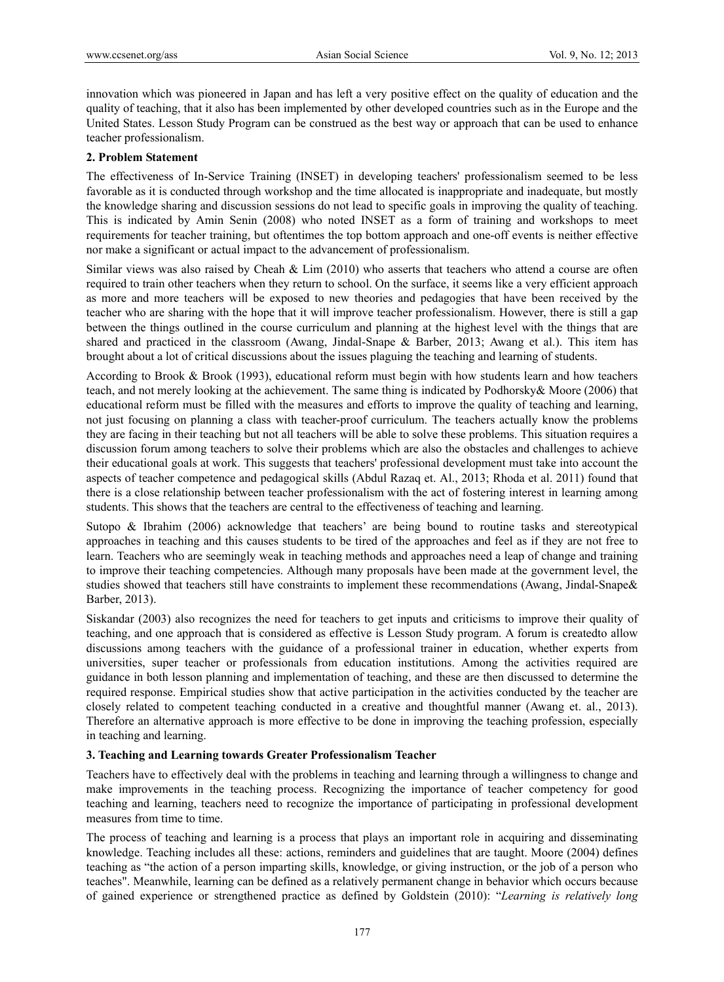innovation which was pioneered in Japan and has left a very positive effect on the quality of education and the quality of teaching, that it also has been implemented by other developed countries such as in the Europe and the United States. Lesson Study Program can be construed as the best way or approach that can be used to enhance teacher professionalism.

### **2. Problem Statement**

The effectiveness of In-Service Training (INSET) in developing teachers' professionalism seemed to be less favorable as it is conducted through workshop and the time allocated is inappropriate and inadequate, but mostly the knowledge sharing and discussion sessions do not lead to specific goals in improving the quality of teaching. This is indicated by Amin Senin (2008) who noted INSET as a form of training and workshops to meet requirements for teacher training, but oftentimes the top bottom approach and one-off events is neither effective nor make a significant or actual impact to the advancement of professionalism.

Similar views was also raised by Cheah & Lim (2010) who asserts that teachers who attend a course are often required to train other teachers when they return to school. On the surface, it seems like a very efficient approach as more and more teachers will be exposed to new theories and pedagogies that have been received by the teacher who are sharing with the hope that it will improve teacher professionalism. However, there is still a gap between the things outlined in the course curriculum and planning at the highest level with the things that are shared and practiced in the classroom (Awang, Jindal-Snape & Barber, 2013; Awang et al.). This item has brought about a lot of critical discussions about the issues plaguing the teaching and learning of students.

According to Brook & Brook (1993), educational reform must begin with how students learn and how teachers teach, and not merely looking at the achievement. The same thing is indicated by Podhorsky& Moore (2006) that educational reform must be filled with the measures and efforts to improve the quality of teaching and learning, not just focusing on planning a class with teacher-proof curriculum. The teachers actually know the problems they are facing in their teaching but not all teachers will be able to solve these problems. This situation requires a discussion forum among teachers to solve their problems which are also the obstacles and challenges to achieve their educational goals at work. This suggests that teachers' professional development must take into account the aspects of teacher competence and pedagogical skills (Abdul Razaq et. Al., 2013; Rhoda et al. 2011) found that there is a close relationship between teacher professionalism with the act of fostering interest in learning among students. This shows that the teachers are central to the effectiveness of teaching and learning.

Sutopo & Ibrahim (2006) acknowledge that teachers' are being bound to routine tasks and stereotypical approaches in teaching and this causes students to be tired of the approaches and feel as if they are not free to learn. Teachers who are seemingly weak in teaching methods and approaches need a leap of change and training to improve their teaching competencies. Although many proposals have been made at the government level, the studies showed that teachers still have constraints to implement these recommendations (Awang, Jindal-Snape& Barber, 2013).

Siskandar (2003) also recognizes the need for teachers to get inputs and criticisms to improve their quality of teaching, and one approach that is considered as effective is Lesson Study program. A forum is createdto allow discussions among teachers with the guidance of a professional trainer in education, whether experts from universities, super teacher or professionals from education institutions. Among the activities required are guidance in both lesson planning and implementation of teaching, and these are then discussed to determine the required response. Empirical studies show that active participation in the activities conducted by the teacher are closely related to competent teaching conducted in a creative and thoughtful manner (Awang et. al., 2013). Therefore an alternative approach is more effective to be done in improving the teaching profession, especially in teaching and learning.

### **3. Teaching and Learning towards Greater Professionalism Teacher**

Teachers have to effectively deal with the problems in teaching and learning through a willingness to change and make improvements in the teaching process. Recognizing the importance of teacher competency for good teaching and learning, teachers need to recognize the importance of participating in professional development measures from time to time.

The process of teaching and learning is a process that plays an important role in acquiring and disseminating knowledge. Teaching includes all these: actions, reminders and guidelines that are taught. Moore (2004) defines teaching as "the action of a person imparting skills, knowledge, or giving instruction, or the job of a person who teaches". Meanwhile, learning can be defined as a relatively permanent change in behavior which occurs because of gained experience or strengthened practice as defined by Goldstein (2010): "*Learning is relatively long*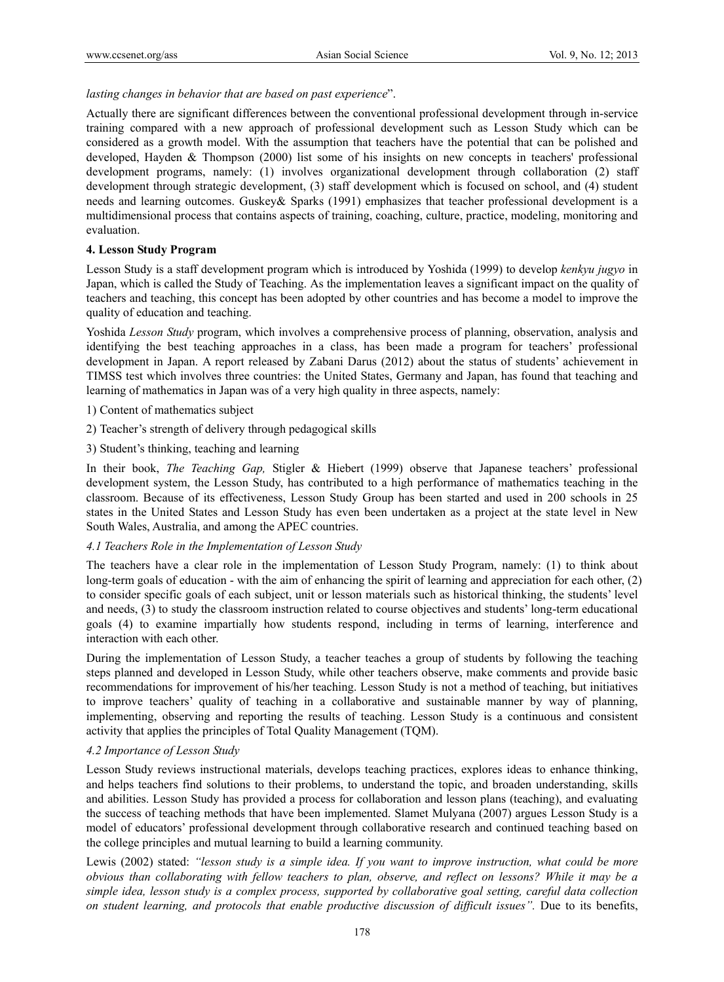#### *lasting changes in behavior that are based on past experience*".

Actually there are significant differences between the conventional professional development through in-service training compared with a new approach of professional development such as Lesson Study which can be considered as a growth model. With the assumption that teachers have the potential that can be polished and developed, Hayden & Thompson (2000) list some of his insights on new concepts in teachers' professional development programs, namely: (1) involves organizational development through collaboration (2) staff development through strategic development, (3) staff development which is focused on school, and (4) student needs and learning outcomes. Guskey& Sparks (1991) emphasizes that teacher professional development is a multidimensional process that contains aspects of training, coaching, culture, practice, modeling, monitoring and evaluation.

## **4. Lesson Study Program**

Lesson Study is a staff development program which is introduced by Yoshida (1999) to develop *kenkyu jugyo* in Japan, which is called the Study of Teaching. As the implementation leaves a significant impact on the quality of teachers and teaching, this concept has been adopted by other countries and has become a model to improve the quality of education and teaching.

Yoshida *Lesson Study* program, which involves a comprehensive process of planning, observation, analysis and identifying the best teaching approaches in a class, has been made a program for teachers' professional development in Japan. A report released by Zabani Darus (2012) about the status of students' achievement in TIMSS test which involves three countries: the United States, Germany and Japan, has found that teaching and learning of mathematics in Japan was of a very high quality in three aspects, namely:

- 1) Content of mathematics subject
- 2) Teacher's strength of delivery through pedagogical skills
- 3) Student's thinking, teaching and learning

In their book, *The Teaching Gap,* Stigler & Hiebert (1999) observe that Japanese teachers' professional development system, the Lesson Study, has contributed to a high performance of mathematics teaching in the classroom. Because of its effectiveness, Lesson Study Group has been started and used in 200 schools in 25 states in the United States and Lesson Study has even been undertaken as a project at the state level in New South Wales, Australia, and among the APEC countries.

#### *4.1 Teachers Role in the Implementation of Lesson Study*

The teachers have a clear role in the implementation of Lesson Study Program, namely: (1) to think about long-term goals of education - with the aim of enhancing the spirit of learning and appreciation for each other, (2) to consider specific goals of each subject, unit or lesson materials such as historical thinking, the students' level and needs, (3) to study the classroom instruction related to course objectives and students' long-term educational goals (4) to examine impartially how students respond, including in terms of learning, interference and interaction with each other.

During the implementation of Lesson Study, a teacher teaches a group of students by following the teaching steps planned and developed in Lesson Study, while other teachers observe, make comments and provide basic recommendations for improvement of his/her teaching. Lesson Study is not a method of teaching, but initiatives to improve teachers' quality of teaching in a collaborative and sustainable manner by way of planning, implementing, observing and reporting the results of teaching. Lesson Study is a continuous and consistent activity that applies the principles of Total Quality Management (TQM).

#### *4.2 Importance of Lesson Study*

Lesson Study reviews instructional materials, develops teaching practices, explores ideas to enhance thinking, and helps teachers find solutions to their problems, to understand the topic, and broaden understanding, skills and abilities. Lesson Study has provided a process for collaboration and lesson plans (teaching), and evaluating the success of teaching methods that have been implemented. Slamet Mulyana (2007) argues Lesson Study is a model of educators' professional development through collaborative research and continued teaching based on the college principles and mutual learning to build a learning community.

Lewis (2002) stated: *"lesson study is a simple idea. If you want to improve instruction, what could be more obvious than collaborating with fellow teachers to plan, observe, and reflect on lessons? While it may be a simple idea, lesson study is a complex process, supported by collaborative goal setting, careful data collection on student learning, and protocols that enable productive discussion of difficult issues"*. Due to its benefits,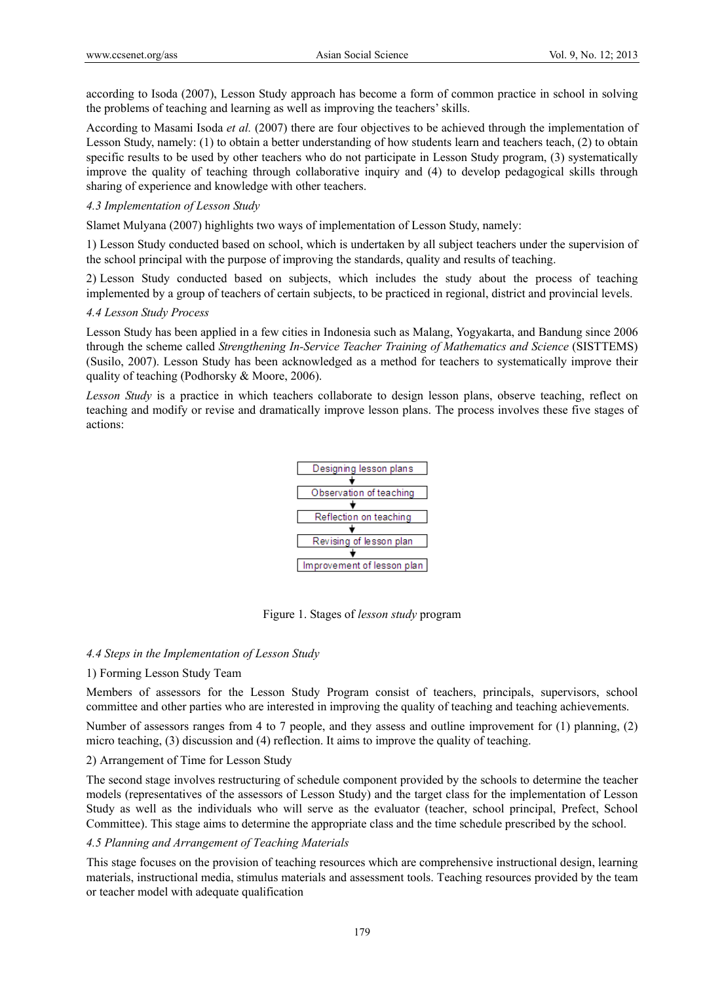according to Isoda (2007), Lesson Study approach has become a form of common practice in school in solving the problems of teaching and learning as well as improving the teachers' skills.

According to Masami Isoda *et al.* (2007) there are four objectives to be achieved through the implementation of Lesson Study, namely: (1) to obtain a better understanding of how students learn and teachers teach, (2) to obtain specific results to be used by other teachers who do not participate in Lesson Study program, (3) systematically improve the quality of teaching through collaborative inquiry and (4) to develop pedagogical skills through sharing of experience and knowledge with other teachers.

## *4.3 Implementation of Lesson Study*

Slamet Mulyana (2007) highlights two ways of implementation of Lesson Study, namely:

1) Lesson Study conducted based on school, which is undertaken by all subject teachers under the supervision of the school principal with the purpose of improving the standards, quality and results of teaching.

2) Lesson Study conducted based on subjects, which includes the study about the process of teaching implemented by a group of teachers of certain subjects, to be practiced in regional, district and provincial levels.

### *4.4 Lesson Study Process*

Lesson Study has been applied in a few cities in Indonesia such as Malang, Yogyakarta, and Bandung since 2006 through the scheme called *Strengthening In-Service Teacher Training of Mathematics and Science* (SISTTEMS) (Susilo, 2007). Lesson Study has been acknowledged as a method for teachers to systematically improve their quality of teaching (Podhorsky & Moore, 2006).

*Lesson Study* is a practice in which teachers collaborate to design lesson plans, observe teaching, reflect on teaching and modify or revise and dramatically improve lesson plans. The process involves these five stages of actions:



Figure 1. Stages of *lesson study* program

## *4.4 Steps in the Implementation of Lesson Study*

### 1) Forming Lesson Study Team

Members of assessors for the Lesson Study Program consist of teachers, principals, supervisors, school committee and other parties who are interested in improving the quality of teaching and teaching achievements.

Number of assessors ranges from 4 to 7 people, and they assess and outline improvement for (1) planning, (2) micro teaching, (3) discussion and (4) reflection. It aims to improve the quality of teaching.

### 2) Arrangement of Time for Lesson Study

The second stage involves restructuring of schedule component provided by the schools to determine the teacher models (representatives of the assessors of Lesson Study) and the target class for the implementation of Lesson Study as well as the individuals who will serve as the evaluator (teacher, school principal, Prefect, School Committee). This stage aims to determine the appropriate class and the time schedule prescribed by the school.

### *4.5 Planning and Arrangement of Teaching Materials*

 This stage focuses on the provision of teaching resources which are comprehensive instructional design, learning materials, instructional media, stimulus materials and assessment tools. Teaching resources provided by the team or teacher model with adequate qualification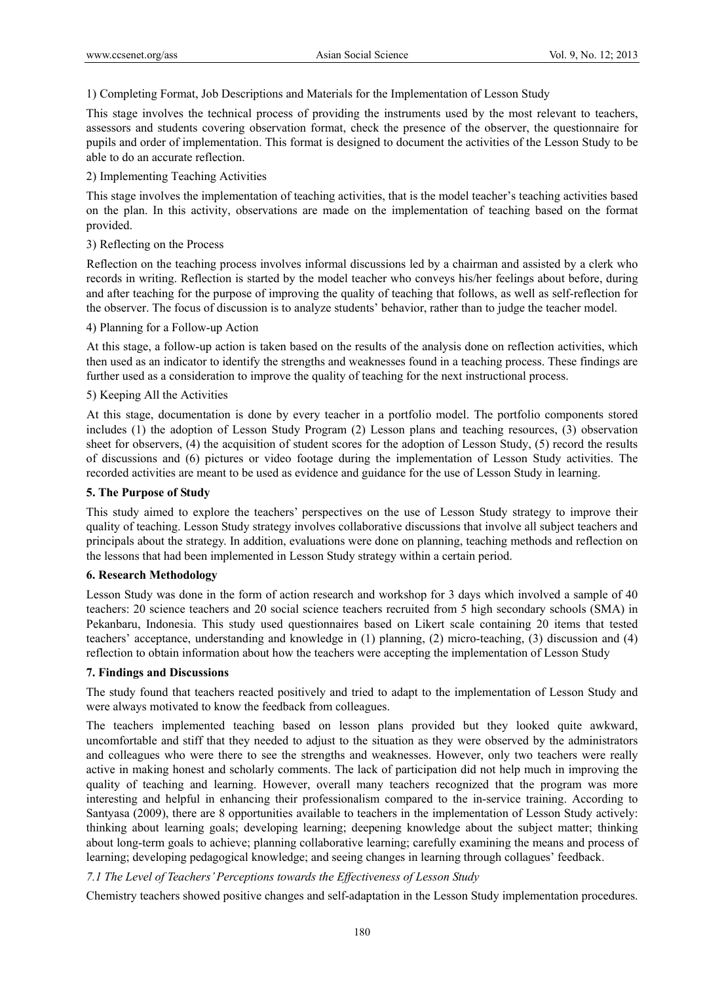1) Completing Format, Job Descriptions and Materials for the Implementation of Lesson Study

This stage involves the technical process of providing the instruments used by the most relevant to teachers, assessors and students covering observation format, check the presence of the observer, the questionnaire for pupils and order of implementation. This format is designed to document the activities of the Lesson Study to be able to do an accurate reflection.

#### 2) Implementing Teaching Activities

This stage involves the implementation of teaching activities, that is the model teacher's teaching activities based on the plan. In this activity, observations are made on the implementation of teaching based on the format provided.

#### 3) Reflecting on the Process

 Reflection on the teaching process involves informal discussions led by a chairman and assisted by a clerk who records in writing. Reflection is started by the model teacher who conveys his/her feelings about before, during and after teaching for the purpose of improving the quality of teaching that follows, as well as self-reflection for the observer. The focus of discussion is to analyze students' behavior, rather than to judge the teacher model.

## 4) Planning for a Follow-up Action

 At this stage, a follow-up action is taken based on the results of the analysis done on reflection activities, which then used as an indicator to identify the strengths and weaknesses found in a teaching process. These findings are further used as a consideration to improve the quality of teaching for the next instructional process.

### 5) Keeping All the Activities

 At this stage, documentation is done by every teacher in a portfolio model. The portfolio components stored includes (1) the adoption of Lesson Study Program (2) Lesson plans and teaching resources, (3) observation sheet for observers, (4) the acquisition of student scores for the adoption of Lesson Study, (5) record the results of discussions and (6) pictures or video footage during the implementation of Lesson Study activities. The recorded activities are meant to be used as evidence and guidance for the use of Lesson Study in learning.

#### **5. The Purpose of Study**

This study aimed to explore the teachers' perspectives on the use of Lesson Study strategy to improve their quality of teaching. Lesson Study strategy involves collaborative discussions that involve all subject teachers and principals about the strategy. In addition, evaluations were done on planning, teaching methods and reflection on the lessons that had been implemented in Lesson Study strategy within a certain period.

### **6. Research Methodology**

Lesson Study was done in the form of action research and workshop for 3 days which involved a sample of 40 teachers: 20 science teachers and 20 social science teachers recruited from 5 high secondary schools (SMA) in Pekanbaru, Indonesia. This study used questionnaires based on Likert scale containing 20 items that tested teachers' acceptance, understanding and knowledge in (1) planning, (2) micro-teaching, (3) discussion and (4) reflection to obtain information about how the teachers were accepting the implementation of Lesson Study

### **7. Findings and Discussions**

The study found that teachers reacted positively and tried to adapt to the implementation of Lesson Study and were always motivated to know the feedback from colleagues.

The teachers implemented teaching based on lesson plans provided but they looked quite awkward, uncomfortable and stiff that they needed to adjust to the situation as they were observed by the administrators and colleagues who were there to see the strengths and weaknesses. However, only two teachers were really active in making honest and scholarly comments. The lack of participation did not help much in improving the quality of teaching and learning. However, overall many teachers recognized that the program was more interesting and helpful in enhancing their professionalism compared to the in-service training. According to Santyasa (2009), there are 8 opportunities available to teachers in the implementation of Lesson Study actively: thinking about learning goals; developing learning; deepening knowledge about the subject matter; thinking about long-term goals to achieve; planning collaborative learning; carefully examining the means and process of learning; developing pedagogical knowledge; and seeing changes in learning through collagues' feedback.

### *7.1 The Level of Teachers' Perceptions towards the Effectiveness of Lesson Study*

Chemistry teachers showed positive changes and self-adaptation in the Lesson Study implementation procedures.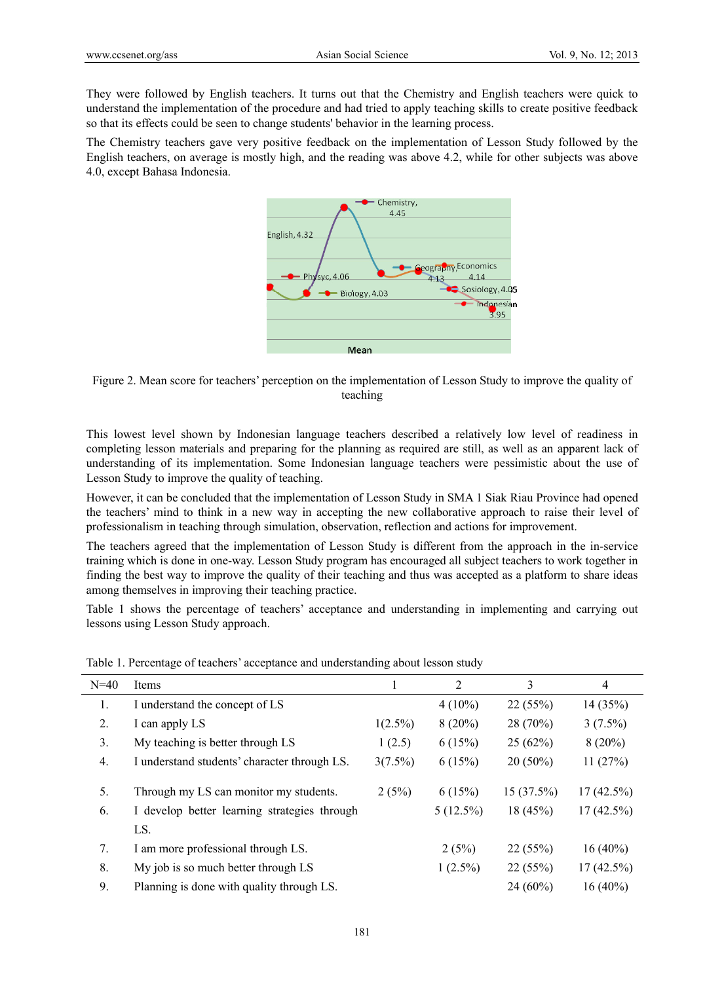They were followed by English teachers. It turns out that the Chemistry and English teachers were quick to understand the implementation of the procedure and had tried to apply teaching skills to create positive feedback so that its effects could be seen to change students' behavior in the learning process.

The Chemistry teachers gave very positive feedback on the implementation of Lesson Study followed by the English teachers, on average is mostly high, and the reading was above 4.2, while for other subjects was above 4.0, except Bahasa Indonesia.



Figure 2. Mean score for teachers' perception on the implementation of Lesson Study to improve the quality of teaching

This lowest level shown by Indonesian language teachers described a relatively low level of readiness in completing lesson materials and preparing for the planning as required are still, as well as an apparent lack of understanding of its implementation. Some Indonesian language teachers were pessimistic about the use of Lesson Study to improve the quality of teaching.

However, it can be concluded that the implementation of Lesson Study in SMA 1 Siak Riau Province had opened the teachers' mind to think in a new way in accepting the new collaborative approach to raise their level of professionalism in teaching through simulation, observation, reflection and actions for improvement.

The teachers agreed that the implementation of Lesson Study is different from the approach in the in-service training which is done in one-way. Lesson Study program has encouraged all subject teachers to work together in finding the best way to improve the quality of their teaching and thus was accepted as a platform to share ideas among themselves in improving their teaching practice.

Table 1 shows the percentage of teachers' acceptance and understanding in implementing and carrying out lessons using Lesson Study approach.

| $N=40$ | Items                                        |            | 2           | 3          | $\overline{4}$ |
|--------|----------------------------------------------|------------|-------------|------------|----------------|
| 1.     | I understand the concept of LS               |            | $4(10\%)$   | 22(55%)    | 14(35%)        |
| 2.     | I can apply LS                               | $1(2.5\%)$ | $8(20\%)$   | 28 (70%)   | $3(7.5\%)$     |
| 3.     | My teaching is better through LS             | 1(2.5)     | 6(15%)      | 25(62%)    | $8(20\%)$      |
| 4.     | I understand students' character through LS. | $3(7.5\%)$ | 6(15%)      | $20(50\%)$ | 11(27%)        |
| 5.     | Through my LS can monitor my students.       | 2(5%)      | 6(15%)      | 15(37.5%)  | $17(42.5\%)$   |
| 6.     | I develop better learning strategies through |            | $5(12.5\%)$ | 18(45%)    | $17(42.5\%)$   |
|        | LS.                                          |            |             |            |                |
| 7.     | I am more professional through LS.           |            | 2(5%)       | 22(55%)    | $16(40\%)$     |
| 8.     | My job is so much better through LS          |            | $1(2.5\%)$  | 22(55%)    | $17(42.5\%)$   |
| 9.     | Planning is done with quality through LS.    |            |             | $24(60\%)$ | $16(40\%)$     |

Table 1. Percentage of teachers' acceptance and understanding about lesson study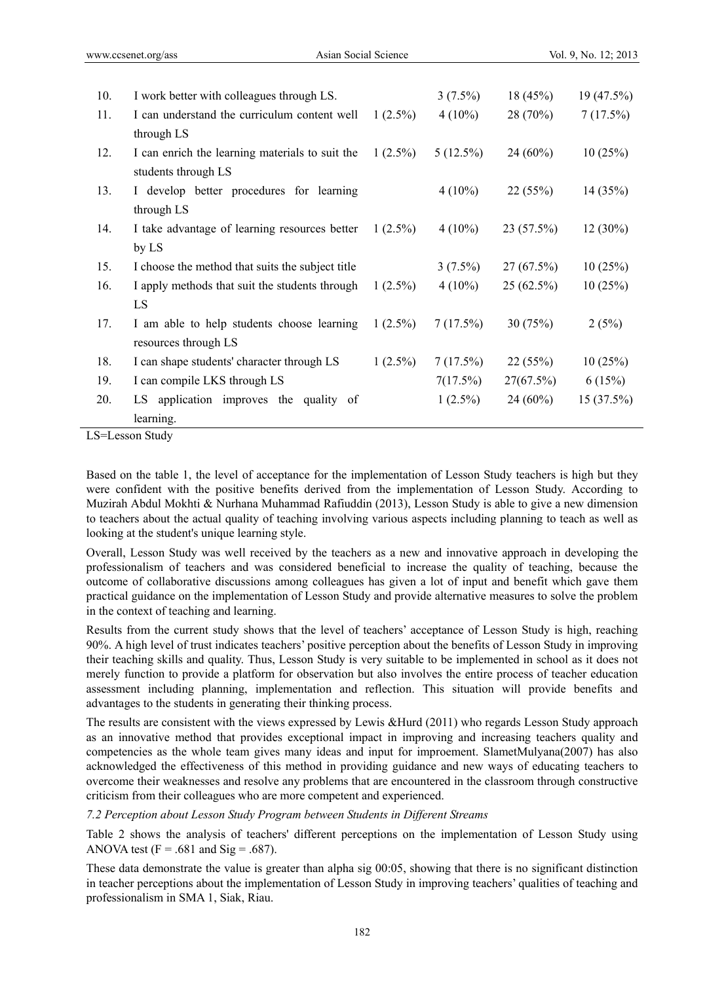| 10. | I work better with colleagues through LS.        |            | $3(7.5\%)$  | 18(45%)      | 19(47.5%)  |
|-----|--------------------------------------------------|------------|-------------|--------------|------------|
| 11. | I can understand the curriculum content well     | $1(2.5\%)$ | $4(10\%)$   | 28(70%)      | 7(17.5%)   |
|     | through LS                                       |            |             |              |            |
| 12. | I can enrich the learning materials to suit the  | $1(2.5\%)$ | $5(12.5\%)$ | $24(60\%)$   | 10(25%)    |
|     | students through LS                              |            |             |              |            |
| 13. | I develop better procedures for learning         |            | $4(10\%)$   | 22(55%)      | 14(35%)    |
|     | through LS                                       |            |             |              |            |
| 14. | I take advantage of learning resources better    | $1(2.5\%)$ | $4(10\%)$   | 23(57.5%)    | $12(30\%)$ |
|     | by LS                                            |            |             |              |            |
| 15. | I choose the method that suits the subject title |            | $3(7.5\%)$  | $27(67.5\%)$ | 10(25%)    |
| 16. | I apply methods that suit the students through   | $1(2.5\%)$ | $4(10\%)$   | $25(62.5\%)$ | 10(25%)    |
|     | LS                                               |            |             |              |            |
| 17. | I am able to help students choose learning       | $1(2.5\%)$ | 7(17.5%)    | 30(75%)      | 2(5%)      |
|     | resources through LS                             |            |             |              |            |
| 18. | I can shape students' character through LS       | $1(2.5\%)$ | $7(17.5\%)$ | 22(55%)      | 10(25%)    |
| 19. | I can compile LKS through LS                     |            | 7(17.5%)    | 27(67.5%)    | 6(15%)     |
| 20. | LS application improves the quality of           |            | $1(2.5\%)$  | $24(60\%)$   | 15(37.5%)  |
|     | learning.                                        |            |             |              |            |

LS=Lesson Study

Based on the table 1, the level of acceptance for the implementation of Lesson Study teachers is high but they were confident with the positive benefits derived from the implementation of Lesson Study. According to Muzirah Abdul Mokhti & Nurhana Muhammad Rafiuddin (2013), Lesson Study is able to give a new dimension to teachers about the actual quality of teaching involving various aspects including planning to teach as well as looking at the student's unique learning style.

Overall, Lesson Study was well received by the teachers as a new and innovative approach in developing the professionalism of teachers and was considered beneficial to increase the quality of teaching, because the outcome of collaborative discussions among colleagues has given a lot of input and benefit which gave them practical guidance on the implementation of Lesson Study and provide alternative measures to solve the problem in the context of teaching and learning.

Results from the current study shows that the level of teachers' acceptance of Lesson Study is high, reaching 90%. A high level of trust indicates teachers' positive perception about the benefits of Lesson Study in improving their teaching skills and quality. Thus, Lesson Study is very suitable to be implemented in school as it does not merely function to provide a platform for observation but also involves the entire process of teacher education assessment including planning, implementation and reflection. This situation will provide benefits and advantages to the students in generating their thinking process.

The results are consistent with the views expressed by Lewis &Hurd (2011) who regards Lesson Study approach as an innovative method that provides exceptional impact in improving and increasing teachers quality and competencies as the whole team gives many ideas and input for improement. SlametMulyana(2007) has also acknowledged the effectiveness of this method in providing guidance and new ways of educating teachers to overcome their weaknesses and resolve any problems that are encountered in the classroom through constructive criticism from their colleagues who are more competent and experienced.

*7.2 Perception about Lesson Study Program between Students in Different Streams* 

Table 2 shows the analysis of teachers' different perceptions on the implementation of Lesson Study using ANOVA test  $(F = .681$  and  $Sig = .687)$ .

These data demonstrate the value is greater than alpha sig 00:05, showing that there is no significant distinction in teacher perceptions about the implementation of Lesson Study in improving teachers' qualities of teaching and professionalism in SMA 1, Siak, Riau.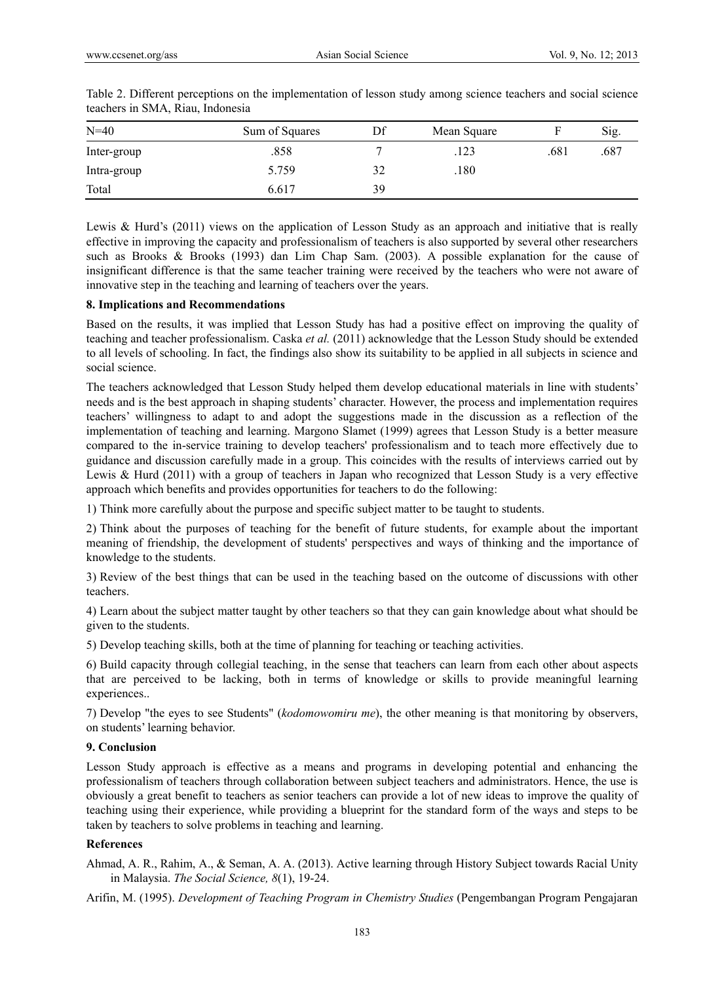| $N=40$      | Sum of Squares | Df | Mean Square |      | Sig. |
|-------------|----------------|----|-------------|------|------|
| Inter-group | .858           |    | .123        | .681 | .687 |
| Intra-group | 5.759          | 32 | .180        |      |      |
| Total       | 6.617          | 39 |             |      |      |

Table 2. Different perceptions on the implementation of lesson study among science teachers and social science teachers in SMA, Riau, Indonesia

Lewis & Hurd's (2011) views on the application of Lesson Study as an approach and initiative that is really effective in improving the capacity and professionalism of teachers is also supported by several other researchers such as Brooks & Brooks (1993) dan Lim Chap Sam. (2003). A possible explanation for the cause of insignificant difference is that the same teacher training were received by the teachers who were not aware of innovative step in the teaching and learning of teachers over the years.

## **8. Implications and Recommendations**

Based on the results, it was implied that Lesson Study has had a positive effect on improving the quality of teaching and teacher professionalism. Caska *et al.* (2011) acknowledge that the Lesson Study should be extended to all levels of schooling. In fact, the findings also show its suitability to be applied in all subjects in science and social science.

The teachers acknowledged that Lesson Study helped them develop educational materials in line with students' needs and is the best approach in shaping students' character. However, the process and implementation requires teachers' willingness to adapt to and adopt the suggestions made in the discussion as a reflection of the implementation of teaching and learning. Margono Slamet (1999) agrees that Lesson Study is a better measure compared to the in-service training to develop teachers' professionalism and to teach more effectively due to guidance and discussion carefully made in a group. This coincides with the results of interviews carried out by Lewis & Hurd (2011) with a group of teachers in Japan who recognized that Lesson Study is a very effective approach which benefits and provides opportunities for teachers to do the following:

1) Think more carefully about the purpose and specific subject matter to be taught to students.

2) Think about the purposes of teaching for the benefit of future students, for example about the important meaning of friendship, the development of students' perspectives and ways of thinking and the importance of knowledge to the students.

3) Review of the best things that can be used in the teaching based on the outcome of discussions with other teachers.

4) Learn about the subject matter taught by other teachers so that they can gain knowledge about what should be given to the students.

5) Develop teaching skills, both at the time of planning for teaching or teaching activities.

6) Build capacity through collegial teaching, in the sense that teachers can learn from each other about aspects that are perceived to be lacking, both in terms of knowledge or skills to provide meaningful learning experiences..

7) Develop "the eyes to see Students" (*kodomowomiru me*), the other meaning is that monitoring by observers, on students' learning behavior.

#### **9. Conclusion**

Lesson Study approach is effective as a means and programs in developing potential and enhancing the professionalism of teachers through collaboration between subject teachers and administrators. Hence, the use is obviously a great benefit to teachers as senior teachers can provide a lot of new ideas to improve the quality of teaching using their experience, while providing a blueprint for the standard form of the ways and steps to be taken by teachers to solve problems in teaching and learning.

### **References**

Ahmad, A. R., Rahim, A., & Seman, A. A. (2013). Active learning through History Subject towards Racial Unity in Malaysia. *The Social Science, 8*(1), 19-24.

Arifin, M. (1995). *Development of Teaching Program in Chemistry Studies* (Pengembangan Program Pengajaran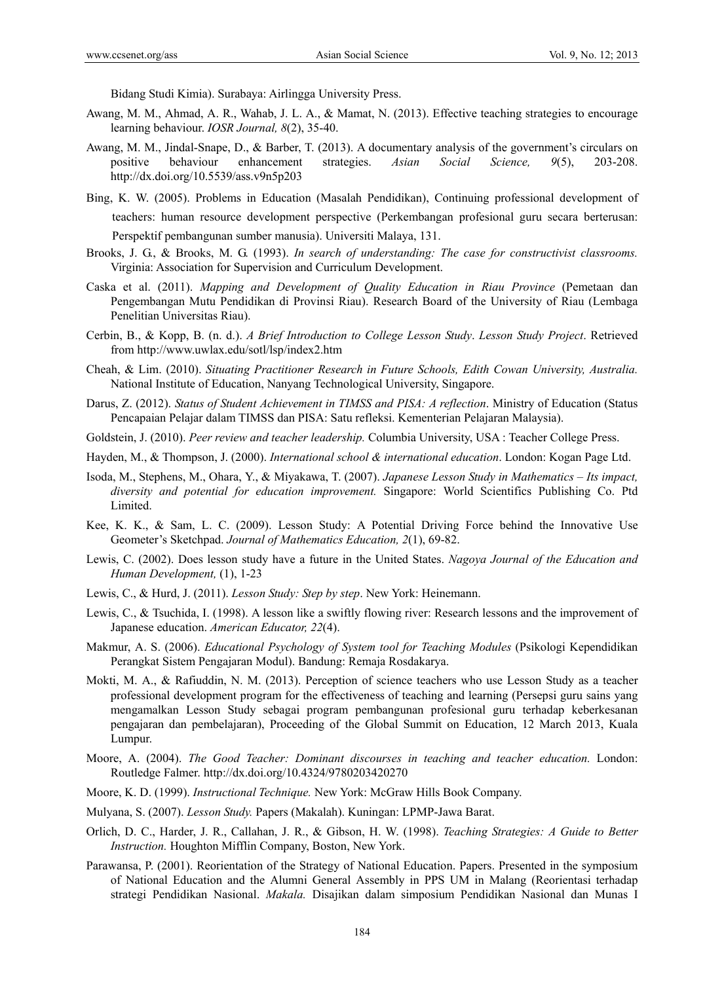Bidang Studi Kimia). Surabaya: Airlingga University Press.

- Awang, M. M., Ahmad, A. R., Wahab, J. L. A., & Mamat, N. (2013). Effective teaching strategies to encourage learning behaviour. *IOSR Journal, 8*(2), 35-40.
- Awang, M. M., Jindal-Snape, D., & Barber, T. (2013). A documentary analysis of the government's circulars on positive behaviour enhancement strategies. *Asian Social Science, 9*(5), 203-208. http://dx.doi.org/10.5539/ass.v9n5p203
- Bing, K. W. (2005). Problems in Education (Masalah Pendidikan), Continuing professional development of teachers: human resource development perspective (Perkembangan profesional guru secara berterusan: Perspektif pembangunan sumber manusia). Universiti Malaya, 131.
- Brooks, J. G., & Brooks, M. G. (1993). *In search of understanding: The case for constructivist classrooms.* Virginia: Association for Supervision and Curriculum Development.
- Caska et al. (2011). *Mapping and Development of Quality Education in Riau Province* (Pemetaan dan Pengembangan Mutu Pendidikan di Provinsi Riau). Research Board of the University of Riau (Lembaga Penelitian Universitas Riau).
- Cerbin, B., & Kopp, B. (n. d.). *A Brief Introduction to College Lesson Study*. *Lesson Study Project*. Retrieved from http://www.uwlax.edu/sotl/lsp/index2.htm
- Cheah, & Lim. (2010). *Situating Practitioner Research in Future Schools, Edith Cowan University, Australia.*  National Institute of Education, Nanyang Technological University, Singapore.
- Darus, Z. (2012). *Status of Student Achievement in TIMSS and PISA: A reflection*. Ministry of Education (Status Pencapaian Pelajar dalam TIMSS dan PISA: Satu refleksi. Kementerian Pelajaran Malaysia).
- Goldstein, J. (2010). *Peer review and teacher leadership.* Columbia University, USA : Teacher College Press.
- Hayden, M., & Thompson, J. (2000). *International school & international education*. London: Kogan Page Ltd.
- Isoda, M., Stephens, M., Ohara, Y., & Miyakawa, T. (2007). *Japanese Lesson Study in Mathematics Its impact, diversity and potential for education improvement.* Singapore: World Scientifics Publishing Co. Ptd Limited.
- Kee, K. K., & Sam, L. C. (2009). Lesson Study: A Potential Driving Force behind the Innovative Use Geometer's Sketchpad. *Journal of Mathematics Education, 2*(1), 69-82.
- Lewis, C. (2002). Does lesson study have a future in the United States. *Nagoya Journal of the Education and Human Development,* (1), 1-23
- Lewis, C., & Hurd, J. (2011). *Lesson Study: Step by step*. New York: Heinemann.
- Lewis, C., & Tsuchida, I. (1998). A lesson like a swiftly flowing river: Research lessons and the improvement of Japanese education. *American Educator, 22*(4).
- Makmur, A. S. (2006). *Educational Psychology of System tool for Teaching Modules* (Psikologi Kependidikan Perangkat Sistem Pengajaran Modul). Bandung: Remaja Rosdakarya.
- Mokti, M. A., & Rafiuddin, N. M. (2013). Perception of science teachers who use Lesson Study as a teacher professional development program for the effectiveness of teaching and learning (Persepsi guru sains yang mengamalkan Lesson Study sebagai program pembangunan profesional guru terhadap keberkesanan pengajaran dan pembelajaran), Proceeding of the Global Summit on Education, 12 March 2013, Kuala Lumpur.
- Moore, A. (2004). *The Good Teacher: Dominant discourses in teaching and teacher education.* London: Routledge Falmer. http://dx.doi.org/10.4324/9780203420270
- Moore, K. D. (1999). *Instructional Technique.* New York: McGraw Hills Book Company.
- Mulyana, S. (2007). *Lesson Study.* Papers (Makalah). Kuningan: LPMP-Jawa Barat.
- Orlich, D. C., Harder, J. R., Callahan, J. R., & Gibson, H. W. (1998). *Teaching Strategies: A Guide to Better Instruction.* Houghton Mifflin Company, Boston, New York.
- Parawansa, P. (2001). Reorientation of the Strategy of National Education. Papers. Presented in the symposium of National Education and the Alumni General Assembly in PPS UM in Malang (Reorientasi terhadap strategi Pendidikan Nasional. *Makala.* Disajikan dalam simposium Pendidikan Nasional dan Munas I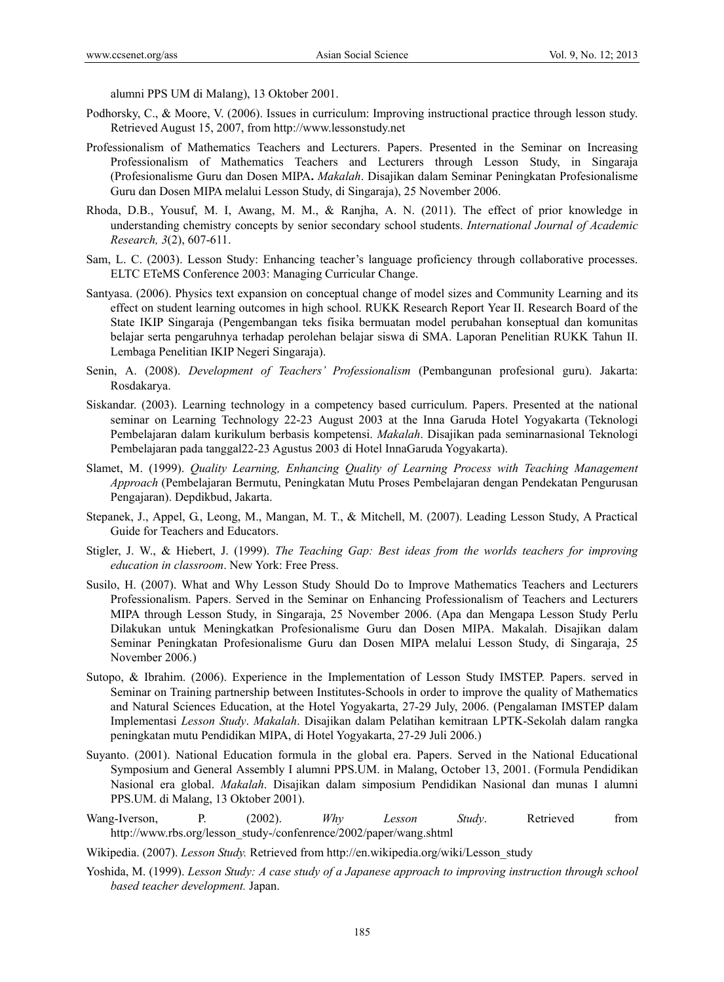alumni PPS UM di Malang), 13 Oktober 2001.

- Podhorsky, C., & Moore, V. (2006). Issues in curriculum: Improving instructional practice through lesson study. Retrieved August 15, 2007, from http://www.lessonstudy.net
- Professionalism of Mathematics Teachers and Lecturers. Papers. Presented in the Seminar on Increasing Professionalism of Mathematics Teachers and Lecturers through Lesson Study, in Singaraja (Profesionalisme Guru dan Dosen MIPA**.** *Makalah*. Disajikan dalam Seminar Peningkatan Profesionalisme Guru dan Dosen MIPA melalui Lesson Study, di Singaraja), 25 November 2006.
- Rhoda, D.B., Yousuf, M. I, Awang, M. M., & Ranjha, A. N. (2011). The effect of prior knowledge in understanding chemistry concepts by senior secondary school students. *International Journal of Academic Research, 3*(2), 607-611.
- Sam, L. C. (2003). Lesson Study: Enhancing teacher's language proficiency through collaborative processes. ELTC ETeMS Conference 2003: Managing Curricular Change.
- Santyasa. (2006). Physics text expansion on conceptual change of model sizes and Community Learning and its effect on student learning outcomes in high school. RUKK Research Report Year II. Research Board of the State IKIP Singaraja (Pengembangan teks fisika bermuatan model perubahan konseptual dan komunitas belajar serta pengaruhnya terhadap perolehan belajar siswa di SMA. Laporan Penelitian RUKK Tahun II. Lembaga Penelitian IKIP Negeri Singaraja).
- Senin, A. (2008). *Development of Teachers' Professionalism* (Pembangunan profesional guru). Jakarta: Rosdakarya.
- Siskandar. (2003). Learning technology in a competency based curriculum. Papers. Presented at the national seminar on Learning Technology 22-23 August 2003 at the Inna Garuda Hotel Yogyakarta (Teknologi Pembelajaran dalam kurikulum berbasis kompetensi. *Makalah*. Disajikan pada seminarnasional Teknologi Pembelajaran pada tanggal22-23 Agustus 2003 di Hotel InnaGaruda Yogyakarta).
- Slamet, M. (1999). *Quality Learning, Enhancing Quality of Learning Process with Teaching Management Approach* (Pembelajaran Bermutu, Peningkatan Mutu Proses Pembelajaran dengan Pendekatan Pengurusan Pengajaran). Depdikbud, Jakarta.
- Stepanek, J., Appel, G., Leong, M., Mangan, M. T., & Mitchell, M. (2007). Leading Lesson Study, A Practical Guide for Teachers and Educators.
- Stigler, J. W., & Hiebert, J. (1999). *The Teaching Gap: Best ideas from the worlds teachers for improving education in classroom*. New York: Free Press.
- Susilo, H. (2007). What and Why Lesson Study Should Do to Improve Mathematics Teachers and Lecturers Professionalism. Papers. Served in the Seminar on Enhancing Professionalism of Teachers and Lecturers MIPA through Lesson Study, in Singaraja, 25 November 2006. (Apa dan Mengapa Lesson Study Perlu Dilakukan untuk Meningkatkan Profesionalisme Guru dan Dosen MIPA. Makalah. Disajikan dalam Seminar Peningkatan Profesionalisme Guru dan Dosen MIPA melalui Lesson Study, di Singaraja, 25 November 2006.)
- Sutopo, & Ibrahim. (2006). Experience in the Implementation of Lesson Study IMSTEP. Papers. served in Seminar on Training partnership between Institutes-Schools in order to improve the quality of Mathematics and Natural Sciences Education, at the Hotel Yogyakarta, 27-29 July, 2006. (Pengalaman IMSTEP dalam Implementasi *Lesson Study*. *Makalah*. Disajikan dalam Pelatihan kemitraan LPTK-Sekolah dalam rangka peningkatan mutu Pendidikan MIPA, di Hotel Yogyakarta, 27-29 Juli 2006.)
- Suyanto. (2001). National Education formula in the global era. Papers. Served in the National Educational Symposium and General Assembly I alumni PPS.UM. in Malang, October 13, 2001. (Formula Pendidikan Nasional era global. *Makalah*. Disajikan dalam simposium Pendidikan Nasional dan munas I alumni PPS.UM. di Malang, 13 Oktober 2001).
- Wang-Iverson, P. (2002). *Why Lesson Study*. Retrieved from http://www.rbs.org/lesson\_study-/confenrence/2002/paper/wang.shtml
- Wikipedia. (2007). *Lesson Study.* Retrieved from http://en.wikipedia.org/wiki/Lesson\_study
- Yoshida, M. (1999). *Lesson Study: A case study of a Japanese approach to improving instruction through school based teacher development.* Japan.